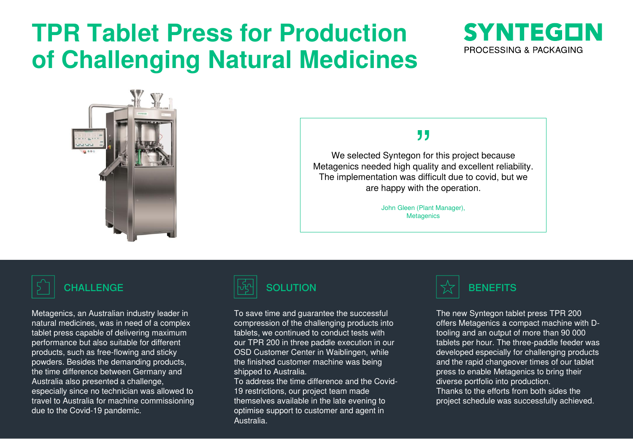# **TPR Tablet Press for Production of Challenging Natural Medicines**





# "

We selected Syntegon for this project because Metagenics needed high quality and excellent reliability. The implementation was difficult due to covid, but we are happy with the operation.

> John Gleen (Plant Manager), **Metagenics**

Metagenics, an Australian industry leader in natural medicines, was in need of a complex tablet press capable of delivering maximum performance but also suitable for different products, such as free-flowing and sticky powders. Besides the demanding products, the time difference between Germany and Australia also presented a challenge, especially since no technician was allowed to travel to Australia for machine commissioning due to the Covid-19 pandemic.



To save time and guarantee the successful

compression of the challenging products into tablets, we continued to conduct tests with our TPR 200 in three paddle execution in our OSD Customer Center in Waiblingen, while the finished customer machine was being shipped to Australia.

To address the time difference and the Covid-19 restrictions, our project team made themselves available in the late evening to optimise support to customer and agent in Australia.



The new Syntegon tablet press TPR 200 offers Metagenics a compact machine with Dtooling and an output of more than 90 000 tablets per hour. The three-paddle feeder was developed especially for challenging products and the rapid changeover times of our tablet press to enable Metagenics to bring their diverse portfolio into production. Thanks to the efforts from both sides the project schedule was successfully achieved.